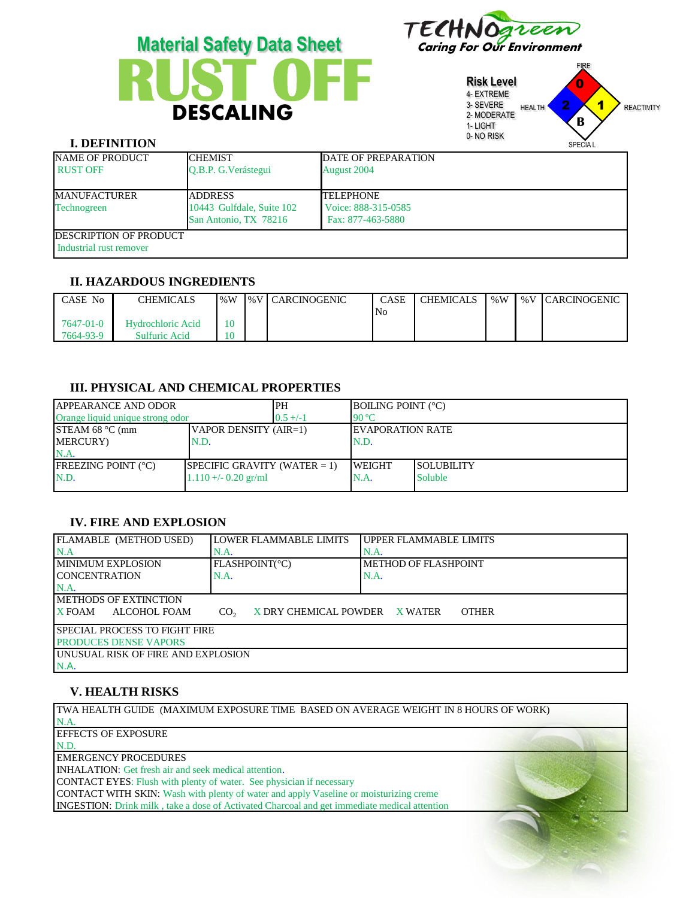



| <b>Risk Level</b><br>4- EXTREME<br>3- SEVERE<br>2- MODERATE<br>1-LIGHT<br>0-NO RISK | <b>HEALTH</b> | <b>FIRE</b><br>۰<br>2<br>B | <b>REACTIVITY</b> |
|-------------------------------------------------------------------------------------|---------------|----------------------------|-------------------|
|                                                                                     |               | <b>SPECIAL</b>             |                   |

# **I. DEFINITION**

| NAME OF PRODUCT<br><b>RUST OFF</b>                        | <b>ICHEMIST</b><br>O.B.P. G. Verástegui                              | <b>DATE OF PREPARATION</b><br><b>August 2004</b>             |
|-----------------------------------------------------------|----------------------------------------------------------------------|--------------------------------------------------------------|
| <b>IMANUFACTURER</b><br>Technogreen                       | <b>ADDRESS</b><br>10443 Gulfdale, Suite 102<br>San Antonio, TX 78216 | <b>TELEPHONE</b><br>Voice: 888-315-0585<br>Fax: 877-463-5880 |
| <b>IDESCRIPTION OF PRODUCT</b><br>Industrial rust remover |                                                                      |                                                              |

### **II. HAZARDOUS INGREDIENTS**

| CASE No   | <b>CHEMICALS</b>         | $\frac{9}{6}W$ | I%V CARCINOGENIC | <b>CASE</b>    | I CHEMICALS | % W | <b>WEV CARCINOGENIC</b> |
|-----------|--------------------------|----------------|------------------|----------------|-------------|-----|-------------------------|
|           |                          |                |                  | N <sub>o</sub> |             |     |                         |
| 7647-01-0 | <b>Hydrochloric Acid</b> |                |                  |                |             |     |                         |
| 7664-93-9 | Sulfuric Acid            |                |                  |                |             |     |                         |

### **III. PHYSICAL AND CHEMICAL PROPERTIES**

| <b>JAPPEARANCE AND ODOR</b>                 | PH                              | <b>BOILING POINT (°C)</b> |                          |                   |
|---------------------------------------------|---------------------------------|---------------------------|--------------------------|-------------------|
| Orange liquid unique strong odor            |                                 | $0.5 +/-1$                | 90 °C                    |                   |
| STEAM 68 $°C$ (mm)<br>VAPOR DENSITY (AIR=1) |                                 |                           | <b>IEVAPORATION RATE</b> |                   |
| MERCURY)<br>N.D.                            |                                 |                           | N.D.                     |                   |
| $NA$ .                                      |                                 |                           |                          |                   |
| <b>IFREEZING POINT</b> $(^{\circ}C)$        | SPECIFIC GRAVITY (WATER $= 1$ ) |                           | <b>IWEIGHT</b>           | <b>SOLUBILITY</b> |
| N.D.<br>$1.110 + (-0.20)$ gr/ml             |                                 |                           | N.A.                     | <b>Soluble</b>    |
|                                             |                                 |                           |                          |                   |

# **IV. FIRE AND EXPLOSION**

| FLAMABLE (METHOD USED)             | <b>LOWER FLAMMABLE LIMITS</b>                    | <b>UPPER FLAMMABLE LIMITS</b> |  |  |  |  |
|------------------------------------|--------------------------------------------------|-------------------------------|--|--|--|--|
| N.A                                | N.A                                              | N.A                           |  |  |  |  |
| I MINIMUM EXPLOSION                | FLASHPOINT(°C)                                   | <b>METHOD OF FLASHPOINT</b>   |  |  |  |  |
| ICONCENTRATION                     | N.A.                                             | N.A.                          |  |  |  |  |
| $NA$ .                             |                                                  |                               |  |  |  |  |
| IMETHODS OF EXTINCTION             |                                                  |                               |  |  |  |  |
| ALCOHOL FOAM<br><b>X FOAM</b>      | CO <sub>2</sub><br>X DRY CHEMICAL POWDER X WATER | <b>OTHER</b>                  |  |  |  |  |
| I SPECIAL PROCESS TO FIGHT FIRE    |                                                  |                               |  |  |  |  |
| <b>PRODUCES DENSE VAPORS</b>       |                                                  |                               |  |  |  |  |
| UNUSUAL RISK OF FIRE AND EXPLOSION |                                                  |                               |  |  |  |  |
| IN.A.                              |                                                  |                               |  |  |  |  |

## **V. HEALTH RISKS**

TWA HEALTH GUIDE (MAXIMUM EXPOSURE TIME BASED ON AVERAGE WEIGHT IN 8 HOURS OF WORK) N.A. EFFECTS OF EXPOSURE N.D. EMERGENCY PROCEDURES

INHALATION: Get fresh air and seek medical attention.

CONTACT EYES: Flush with plenty of water. See physician if necessary

CONTACT WITH SKIN: Wash with plenty of water and apply Vaseline or moisturizing creme INGESTION: Drink milk , take a dose of Activated Charcoal and get immediate medical attention